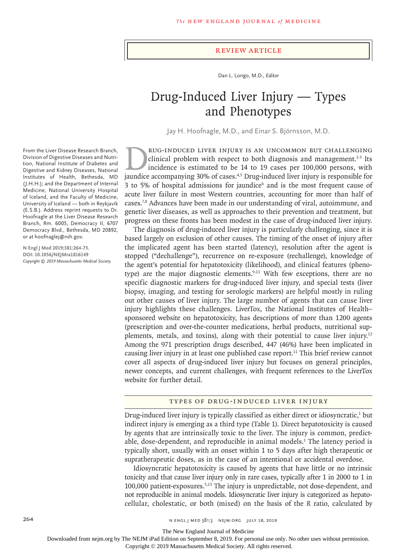#### Review Article

Dan L. Longo, M.D., *Editor*

# Drug-Induced Liver Injury — Types and Phenotypes

Jay H. Hoofnagle, M.D., and Einar S. Björnsson, M.D.

From the Liver Disease Research Branch, Division of Digestive Diseases and Nutrition, National Institute of Diabetes and Digestive and Kidney Diseases, National Institutes of Health, Bethesda, MD (J.H.H.); and the Department of Internal Medicine, National University Hospital of Iceland, and the Faculty of Medicine, University of Iceland — both in Reykjavík (E.S.B.). Address reprint requests to Dr. Hoofnagle at the Liver Disease Research Branch, Rm. 6005, Democracy II, 6707 Democracy Blvd., Bethesda, MD 20892, or at hoofnaglej@nih.gov.

**N Engl J Med 2019;381:264-73. DOI: 10.1056/NEJMra1816149** *Copyright © 2019 Massachusetts Medical Society.*

RUG-INDUCED LIVER INJURY IS AN UNCOMMON BUT CHALLENGING<br>
clinical problem with respect to both diagnosis and management.<sup>1-3</sup> Its<br>
incidence is estimated to be 14 to 19 cases per 100,000 persons, with<br>
iaundice accompanyin clinical problem with respect to both diagnosis and management.<sup>1-3</sup> Its incidence is estimated to be 14 to 19 cases per 100,000 persons, with jaundice accompanying 30% of cases.4,5 Drug-induced liver injury is responsible for 3 to 5% of hospital admissions for jaundice<sup>6</sup> and is the most frequent cause of acute liver failure in most Western countries, accounting for more than half of cases.7,8 Advances have been made in our understanding of viral, autoimmune, and genetic liver diseases, as well as approaches to their prevention and treatment, but progress on these fronts has been modest in the case of drug-induced liver injury.

The diagnosis of drug-induced liver injury is particularly challenging, since it is based largely on exclusion of other causes. The timing of the onset of injury after the implicated agent has been started (latency), resolution after the agent is stopped ("dechallenge"), recurrence on re-exposure (rechallenge), knowledge of the agent's potential for hepatotoxicity (likelihood), and clinical features (phenotype) are the major diagnostic elements.<sup>9-11</sup> With few exceptions, there are no specific diagnostic markers for drug-induced liver injury, and special tests (liver biopsy, imaging, and testing for serologic markers) are helpful mostly in ruling out other causes of liver injury. The large number of agents that can cause liver injury highlights these challenges. LiverTox, the National Institutes of Health– sponsored website on hepatotoxicity, has descriptions of more than 1200 agents (prescription and over-the-counter medications, herbal products, nutritional supplements, metals, and toxins), along with their potential to cause liver injury.12 Among the 971 prescription drugs described, 447 (46%) have been implicated in causing liver injury in at least one published case report.11 This brief review cannot cover all aspects of drug-induced liver injury but focuses on general principles, newer concepts, and current challenges, with frequent references to the LiverTox website for further detail.

## Types of Drug-Induced Liver Injury

Drug-induced liver injury is typically classified as either direct or idiosyncratic,<sup>1</sup> but indirect injury is emerging as a third type (Table 1). Direct hepatotoxicity is caused by agents that are intrinsically toxic to the liver. The injury is common, predictable, dose-dependent, and reproducible in animal models.<sup>1</sup> The latency period is typically short, usually with an onset within 1 to 5 days after high therapeutic or supratherapeutic doses, as in the case of an intentional or accidental overdose.

Idiosyncratic hepatotoxicity is caused by agents that have little or no intrinsic toxicity and that cause liver injury only in rare cases, typically after 1 in 2000 to 1 in 100,000 patient-exposures.5,13 The injury is unpredictable, not dose-dependent, and not reproducible in animal models. Idiosyncratic liver injury is categorized as hepatocellular, cholestatic, or both (mixed) on the basis of the *R* ratio, calculated by

The New England Journal of Medicine

Downloaded from nejm.org by The NEJM iPad Edition on September 8, 2019. For personal use only. No other uses without permission.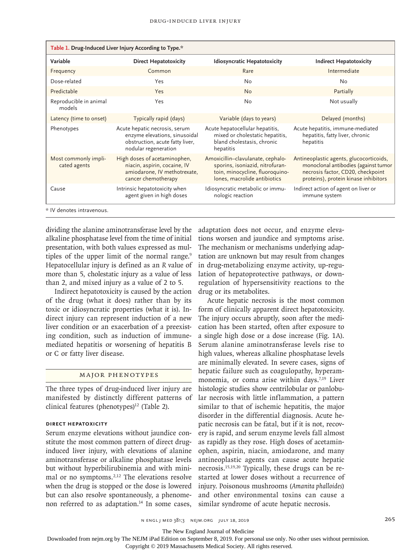| Table 1. Drug-Induced Liver Injury According to Type.* |                                                                                                                           |                                                                                                                                         |                                                                                                                                                              |  |  |  |  |
|--------------------------------------------------------|---------------------------------------------------------------------------------------------------------------------------|-----------------------------------------------------------------------------------------------------------------------------------------|--------------------------------------------------------------------------------------------------------------------------------------------------------------|--|--|--|--|
| Variable                                               | <b>Direct Hepatotoxicity</b>                                                                                              | <b>Idiosyncratic Hepatotoxicity</b>                                                                                                     | <b>Indirect Hepatotoxicity</b>                                                                                                                               |  |  |  |  |
| Frequency                                              | Common                                                                                                                    | Rare                                                                                                                                    | Intermediate                                                                                                                                                 |  |  |  |  |
| Dose-related                                           | Yes                                                                                                                       | No                                                                                                                                      | No                                                                                                                                                           |  |  |  |  |
| Predictable                                            | Yes                                                                                                                       | <b>No</b>                                                                                                                               | Partially                                                                                                                                                    |  |  |  |  |
| Reproducible in animal<br>models                       | Yes                                                                                                                       | No                                                                                                                                      | Not usually                                                                                                                                                  |  |  |  |  |
| Latency (time to onset)                                | Typically rapid (days)                                                                                                    | Variable (days to years)                                                                                                                | Delayed (months)                                                                                                                                             |  |  |  |  |
| Phenotypes                                             | Acute hepatic necrosis, serum<br>enzyme elevations, sinusoidal<br>obstruction, acute fatty liver,<br>nodular regeneration | Acute hepatocellular hepatitis,<br>mixed or cholestatic hepatitis,<br>bland cholestasis, chronic<br>hepatitis                           | Acute hepatitis, immune-mediated<br>hepatitis, fatty liver, chronic<br>hepatitis                                                                             |  |  |  |  |
| Most commonly impli-<br>cated agents                   | High doses of acetaminophen,<br>niacin, aspirin, cocaine, IV<br>amiodarone, IV methotrexate,<br>cancer chemotherapy       | Amoxicillin-clavulanate, cephalo-<br>sporins, isoniazid, nitrofuran-<br>toin, minocycline, fluoroquino-<br>lones, macrolide antibiotics | Antineoplastic agents, glucocorticoids,<br>monoclonal antibodies (against tumor<br>necrosis factor, CD20, checkpoint<br>proteins), protein kinase inhibitors |  |  |  |  |
| Cause                                                  | Intrinsic hepatotoxicity when<br>agent given in high doses                                                                | Idiosyncratic metabolic or immu-<br>nologic reaction                                                                                    | Indirect action of agent on liver or<br>immune system                                                                                                        |  |  |  |  |
| * IV denotes intravenous.                              |                                                                                                                           |                                                                                                                                         |                                                                                                                                                              |  |  |  |  |

dividing the alanine aminotransferase level by the alkaline phosphatase level from the time of initial presentation, with both values expressed as multiples of the upper limit of the normal range.<sup>9</sup> Hepatocellular injury is defined as an *R* value of more than 5, cholestatic injury as a value of less than 2, and mixed injury as a value of 2 to 5.

Indirect hepatotoxicity is caused by the action of the drug (what it does) rather than by its toxic or idiosyncratic properties (what it is). Indirect injury can represent induction of a new liver condition or an exacerbation of a preexisting condition, such as induction of immunemediated hepatitis or worsening of hepatitis B or C or fatty liver disease.

## Major Phenotypes

The three types of drug-induced liver injury are manifested by distinctly different patterns of clinical features (phenotypes) $12$  (Table 2).

## **Direct Hepatoxicity**

Serum enzyme elevations without jaundice constitute the most common pattern of direct druginduced liver injury, with elevations of alanine aminotransferase or alkaline phosphatase levels but without hyperbilirubinemia and with minimal or no symptoms.2,12 The elevations resolve when the drug is stopped or the dose is lowered but can also resolve spontaneously, a phenomenon referred to as adaptation.<sup>14</sup> In some cases,

adaptation does not occur, and enzyme elevations worsen and jaundice and symptoms arise. The mechanism or mechanisms underlying adaptation are unknown but may result from changes in drug-metabolizing enzyme activity, up-regulation of hepatoprotective pathways, or downregulation of hypersensitivity reactions to the drug or its metabolites.

Acute hepatic necrosis is the most common form of clinically apparent direct hepatotoxicity. The injury occurs abruptly, soon after the medication has been started, often after exposure to a single high dose or a dose increase (Fig. 1A). Serum alanine aminotransferase levels rise to high values, whereas alkaline phosphatase levels are minimally elevated. In severe cases, signs of hepatic failure such as coagulopathy, hyperammonemia, or coma arise within days.<sup>7,19</sup> Liver histologic studies show centrilobular or panlobular necrosis with little inflammation, a pattern similar to that of ischemic hepatitis, the major disorder in the differential diagnosis. Acute hepatic necrosis can be fatal, but if it is not, recovery is rapid, and serum enzyme levels fall almost as rapidly as they rose. High doses of acetaminophen, aspirin, niacin, amiodarone, and many antineoplastic agents can cause acute hepatic necrosis.15,19,20 Typically, these drugs can be restarted at lower doses without a recurrence of injury. Poisonous mushrooms (*Amanita phalloides*) and other environmental toxins can cause a similar syndrome of acute hepatic necrosis.

n engl j med 381;3 nejm.org July 18, 2019 265

The New England Journal of Medicine

Downloaded from nejm.org by The NEJM iPad Edition on September 8, 2019. For personal use only. No other uses without permission.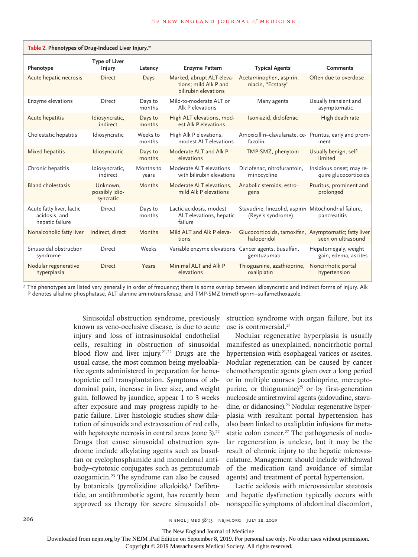| Table 2. Phenotypes of Drug-Induced Liver Injury.*            |                                         |                    |                                                                            |                                                                           |                                                   |  |  |
|---------------------------------------------------------------|-----------------------------------------|--------------------|----------------------------------------------------------------------------|---------------------------------------------------------------------------|---------------------------------------------------|--|--|
| Phenotype                                                     | <b>Type of Liver</b><br><b>Injury</b>   | Latency            | <b>Enzyme Pattern</b>                                                      | <b>Typical Agents</b>                                                     | <b>Comments</b>                                   |  |  |
| Acute hepatic necrosis                                        | <b>Direct</b>                           | Days               | Marked, abrupt ALT eleva-<br>tions; mild Alk P and<br>bilirubin elevations | Acetaminophen, aspirin,<br>niacin, "Ecstasy"                              | Often due to overdose                             |  |  |
| Enzyme elevations                                             | Direct                                  | Days to<br>months  | Mild-to-moderate ALT or<br>Alk P elevations                                | Many agents                                                               | Usually transient and<br>asymptomatic             |  |  |
| Acute hepatitis                                               | Idiosyncratic,<br>indirect              | Days to<br>months  | High ALT elevations, mod-<br>est Alk P elevations                          | Isoniazid, diclofenac                                                     | High death rate                                   |  |  |
| Cholestatic hepatitis                                         | Idiosyncratic                           | Weeks to<br>months | High Alk P elevations,<br>modest ALT elevations                            | Amoxicillin-clavulanate, ce- Pruritus, early and prom-<br>fazolin         | inent                                             |  |  |
| Mixed hepatitis                                               | Idiosyncratic                           | Days to<br>months  | Moderate ALT and Alk P<br>elevations                                       | TMP-SMZ, phenytoin                                                        | Usually benign, self-<br>limited                  |  |  |
| Chronic hepatitis                                             | Idiosyncratic,<br>indirect              | Months to<br>years | Moderate ALT elevations<br>with bilirubin elevations                       | Diclofenac, nitrofurantoin,<br>minocycline                                | Insidious onset; may re-<br>quire glucocorticoids |  |  |
| <b>Bland cholestasis</b>                                      | Unknown.<br>possibly idio-<br>syncratic | Months             | Moderate ALT elevations,<br>mild Alk P elevations                          | Anabolic steroids, estro-<br>gens                                         | Pruritus, prominent and<br>prolonged              |  |  |
| Acute fatty liver, lactic<br>acidosis, and<br>hepatic failure | <b>Direct</b>                           | Days to<br>months  | Lactic acidosis, modest<br>ALT elevations, hepatic<br>failure              | Stavudine, linezolid, aspirin Mitochondrial failure,<br>(Reye's syndrome) | pancreatitis                                      |  |  |
| Nonalcoholic fatty liver                                      | Indirect, direct                        | Months             | Mild ALT and Alk P eleva-<br>tions                                         | Glucocorticoids, tamoxifen, Asymptomatic; fatty liver<br>haloperidol      | seen on ultrasound                                |  |  |
| Sinusoidal obstruction<br>syndrome                            | Direct                                  | Weeks              | Variable enzyme elevations Cancer agents, busulfan,                        | gemtuzumab                                                                | Hepatomegaly, weight<br>gain, edema, ascites      |  |  |
| Nodular regenerative<br>hyperplasia                           | <b>Direct</b>                           | Years              | Minimal ALT and Alk P<br>elevations                                        | Thioguanine, azathioprine,<br>oxaliplatin                                 | Noncirrhotic portal<br>hypertension               |  |  |

\* The phenotypes are listed very generally in order of frequency; there is some overlap between idiosyncratic and indirect forms of injury. Alk P denotes alkaline phosphatase, ALT alanine aminotransferase, and TMP-SMZ trimethoprim–sulfamethoxazole.

> Sinusoidal obstruction syndrome, previously known as veno-occlusive disease, is due to acute injury and loss of intrasinusoidal endothelial cells, resulting in obstruction of sinusoidal blood flow and liver injury.<sup>21,22</sup> Drugs are the usual cause, the most common being myeloablative agents administered in preparation for hematopoietic cell transplantation. Symptoms of abdominal pain, increase in liver size, and weight gain, followed by jaundice, appear 1 to 3 weeks after exposure and may progress rapidly to hepatic failure. Liver histologic studies show dilatation of sinusoids and extravasation of red cells, with hepatocyte necrosis in central areas (zone  $3$ ).<sup>22</sup> Drugs that cause sinusoidal obstruction syndrome include alkylating agents such as busulfan or cyclophosphamide and monoclonal antibody–cytotoxic conjugates such as gemtuzumab ozogamicin.23 The syndrome can also be caused by botanicals (pyrrolizidine alkaloids).<sup>1</sup> Defibrotide, an antithrombotic agent, has recently been approved as therapy for severe sinusoidal ob-

struction syndrome with organ failure, but its use is controversial.<sup>24</sup>

Nodular regenerative hyperplasia is usually manifested as unexplained, noncirrhotic portal hypertension with esophageal varices or ascites. Nodular regeneration can be caused by cancer chemotherapeutic agents given over a long period or in multiple courses (azathioprine, mercaptopurine, or thioguanine)<sup>25</sup> or by first-generation nucleoside antiretroviral agents (zidovudine, stavudine, or didanosine).<sup>26</sup> Nodular regenerative hyperplasia with resultant portal hypertension has also been linked to oxaliplatin infusions for metastatic colon cancer.<sup>27</sup> The pathogenesis of nodular regeneration is unclear, but it may be the result of chronic injury to the hepatic microvasculature. Management should include withdrawal of the medication (and avoidance of similar agents) and treatment of portal hypertension.

Lactic acidosis with microvesicular steatosis and hepatic dysfunction typically occurs with nonspecific symptoms of abdominal discomfort,

The New England Journal of Medicine

Downloaded from nejm.org by The NEJM iPad Edition on September 8, 2019. For personal use only. No other uses without permission.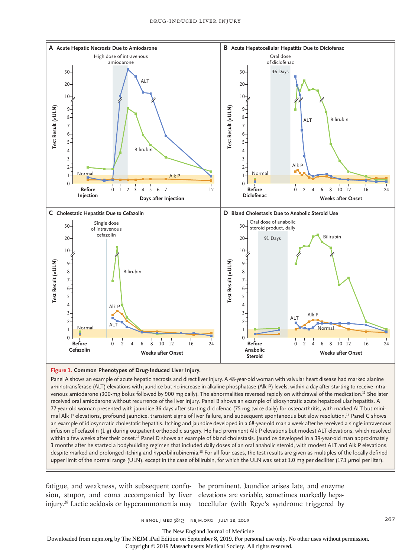

#### **Figure 1. Common Phenotypes of Drug-Induced Liver Injury.**

Panel A shows an example of acute hepatic necrosis and direct liver injury. A 48-year-old woman with valvular heart disease had marked alanine aminotransferase (ALT) elevations with jaundice but no increase in alkaline phosphatase (Alk P) levels, within a day after starting to receive intravenous amiodarone (300-mg bolus followed by 900 mg daily). The abnormalities reversed rapidly on withdrawal of the medication.<sup>15</sup> She later received oral amiodarone without recurrence of the liver injury. Panel B shows an example of idiosyncratic acute hepatocellular hepatitis. A 77-year-old woman presented with jaundice 36 days after starting diclofenac (75 mg twice daily) for osteoarthritis, with marked ALT but minimal Alk P elevations, profound jaundice, transient signs of liver failure, and subsequent spontaneous but slow resolution.16 Panel C shows an example of idiosyncratic cholestatic hepatitis. Itching and jaundice developed in a 68-year-old man a week after he received a single intravenous infusion of cefazolin (1 g) during outpatient orthopedic surgery. He had prominent Alk P elevations but modest ALT elevations, which resolved within a few weeks after their onset.<sup>17</sup> Panel D shows an example of bland cholestasis. Jaundice developed in a 39-year-old man approximately 3 months after he started a bodybuilding regimen that included daily doses of an oral anabolic steroid, with modest ALT and Alk P elevations, despite marked and prolonged itching and hyperbilirubinemia.<sup>18</sup> For all four cases, the test results are given as multiples of the locally defined upper limit of the normal range (ULN), except in the case of bilirubin, for which the ULN was set at 1.0 mg per deciliter (17.1  $\mu$ mol per liter).

fatigue, and weakness, with subsequent confu-be prominent. Jaundice arises late, and enzyme sion, stupor, and coma accompanied by liver elevations are variable, sometimes markedly hepainjury.<sup>28</sup> Lactic acidosis or hyperammonemia may tocellular (with Reye's syndrome triggered by

n engl j med 381;3 nejm.org July 18, 2019 267

The New England Journal of Medicine

Downloaded from nejm.org by The NEJM iPad Edition on September 8, 2019. For personal use only. No other uses without permission.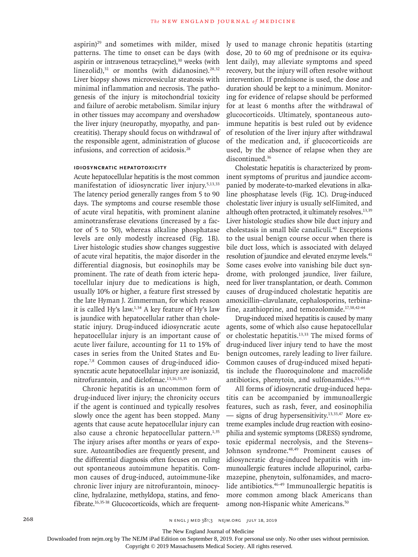aspirin)<sup>29</sup> and sometimes with milder, mixed patterns. The time to onset can be days (with aspirin or intravenous tetracycline), $30$  weeks (with linezolid), $31$  or months (with didanosine). $28,32$ Liver biopsy shows microvesicular steatosis with minimal inflammation and necrosis. The pathogenesis of the injury is mitochondrial toxicity and failure of aerobic metabolism. Similar injury in other tissues may accompany and overshadow the liver injury (neuropathy, myopathy, and pancreatitis). Therapy should focus on withdrawal of the responsible agent, administration of glucose infusions, and correction of acidosis.28

## **Idiosyncratic Hepatotoxicity**

Acute hepatocellular hepatitis is the most common manifestation of idiosyncratic liver injury.<sup>5,13,33</sup> The latency period generally ranges from 5 to 90 days. The symptoms and course resemble those of acute viral hepatitis, with prominent alanine aminotransferase elevations (increased by a factor of 5 to 50), whereas alkaline phosphatase levels are only modestly increased (Fig. 1B). Liver histologic studies show changes suggestive of acute viral hepatitis, the major disorder in the differential diagnosis, but eosinophils may be prominent. The rate of death from icteric hepatocellular injury due to medications is high, usually 10% or higher, a feature first stressed by the late Hyman J. Zimmerman, for which reason it is called Hy's law.<sup>1,34</sup> A key feature of Hy's law is jaundice with hepatocellular rather than cholestatic injury. Drug-induced idiosyncratic acute hepatocellular injury is an important cause of acute liver failure, accounting for 11 to 15% of cases in series from the United States and Europe.7,8 Common causes of drug-induced idiosyncratic acute hepatocellular injury are isoniazid, nitrofurantoin, and diclofenac.13,16,33,35

Chronic hepatitis is an uncommon form of drug-induced liver injury; the chronicity occurs if the agent is continued and typically resolves slowly once the agent has been stopped. Many agents that cause acute hepatocellular injury can also cause a chronic hepatocellular pattern.<sup>1,35</sup> The injury arises after months or years of exposure. Autoantibodies are frequently present, and the differential diagnosis often focuses on ruling out spontaneous autoimmune hepatitis. Common causes of drug-induced, autoimmune-like chronic liver injury are nitrofurantoin, minocycline, hydralazine, methyldopa, statins, and fenofibrate.16,35-38 Glucocorticoids, which are frequently used to manage chronic hepatitis (starting dose, 20 to 60 mg of prednisone or its equivalent daily), may alleviate symptoms and speed recovery, but the injury will often resolve without intervention. If prednisone is used, the dose and duration should be kept to a minimum. Monitoring for evidence of relapse should be performed for at least 6 months after the withdrawal of glucocorticoids. Ultimately, spontaneous autoimmune hepatitis is best ruled out by evidence of resolution of the liver injury after withdrawal of the medication and, if glucocorticoids are used, by the absence of relapse when they are discontinued.<sup>36</sup>

Cholestatic hepatitis is characterized by prominent symptoms of pruritus and jaundice accompanied by moderate-to-marked elevations in alkaline phosphatase levels (Fig. 1C). Drug-induced cholestatic liver injury is usually self-limited, and although often protracted, it ultimately resolves.<sup>13,39</sup> Liver histologic studies show bile duct injury and cholestasis in small bile canaliculi.40 Exceptions to the usual benign course occur when there is bile duct loss, which is associated with delayed resolution of jaundice and elevated enzyme levels.<sup>41</sup> Some cases evolve into vanishing bile duct syndrome, with prolonged jaundice, liver failure, need for liver transplantation, or death. Common causes of drug-induced cholestatic hepatitis are amoxicillin–clavulanate, cephalosporins, terbinafine, azathioprine, and temozolomide.17,38,42-44

Drug-induced mixed hepatitis is caused by many agents, some of which also cause hepatocellular or cholestatic hepatitis.13,33 The mixed forms of drug-induced liver injury tend to have the most benign outcomes, rarely leading to liver failure. Common causes of drug-induced mixed hepatitis include the fluoroquinolone and macrolide antibiotics, phenytoin, and sulfonamides. $13,45,46$ 

All forms of idiosyncratic drug-induced hepatitis can be accompanied by immunoallergic features, such as rash, fever, and eosinophilia — signs of drug hypersensitivity.13,33,47 More extreme examples include drug reaction with eosinophilia and systemic symptoms (DRESS) syndrome, toxic epidermal necrolysis, and the Stevens– Johnson syndrome.48,49 Prominent causes of idiosyncratic drug-induced hepatitis with immunoallergic features include allopurinol, carbamazepine, phenytoin, sulfonamides, and macrolide antibiotics.46-49 Immunoallergic hepatitis is more common among black Americans than among non-Hispanic white Americans.50

268 **1.2.2019** n engl j med 381;3 nejm.org July 18, 2019

The New England Journal of Medicine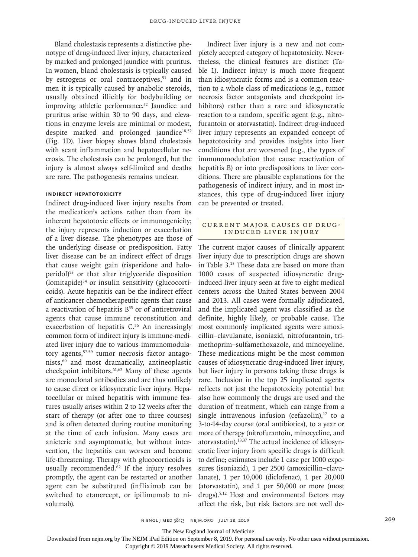Bland cholestasis represents a distinctive phenotype of drug-induced liver injury, characterized by marked and prolonged jaundice with pruritus. In women, bland cholestasis is typically caused by estrogens or oral contraceptives,<sup>51</sup> and in men it is typically caused by anabolic steroids, usually obtained illicitly for bodybuilding or improving athletic performance.<sup>52</sup> Jaundice and pruritus arise within 30 to 90 days, and elevations in enzyme levels are minimal or modest, despite marked and prolonged jaundice<sup>18,52</sup> (Fig. 1D). Liver biopsy shows bland cholestasis with scant inflammation and hepatocellular necrosis. The cholestasis can be prolonged, but the injury is almost always self-limited and deaths are rare. The pathogenesis remains unclear.

## **Indirect Hepatotoxicity**

Indirect drug-induced liver injury results from the medication's actions rather than from its inherent hepatotoxic effects or immunogenicity; the injury represents induction or exacerbation of a liver disease. The phenotypes are those of the underlying disease or predisposition. Fatty liver disease can be an indirect effect of drugs that cause weight gain (risperidone and haloperidol)<sup>53</sup> or that alter triglyceride disposition (lomitapide)54 or insulin sensitivity (glucocorticoids). Acute hepatitis can be the indirect effect of anticancer chemotherapeutic agents that cause a reactivation of hepatitis  $B<sup>55</sup>$  or of antiretroviral agents that cause immune reconstitution and exacerbation of hepatitis C.<sup>56</sup> An increasingly common form of indirect injury is immune-mediated liver injury due to various immunomodulatory agents,57-59 tumor necrosis factor antagonists,60 and most dramatically, antineoplastic checkpoint inhibitors.<sup>61,62</sup> Many of these agents are monoclonal antibodies and are thus unlikely to cause direct or idiosyncratic liver injury. Hepatocellular or mixed hepatitis with immune features usually arises within 2 to 12 weeks after the start of therapy (or after one to three courses) and is often detected during routine monitoring at the time of each infusion. Many cases are anicteric and asymptomatic, but without intervention, the hepatitis can worsen and become life-threatening. Therapy with glucocorticoids is usually recommended.<sup>62</sup> If the injury resolves promptly, the agent can be restarted or another agent can be substituted (infliximab can be switched to etanercept, or ipilimumab to nivolumab).

Indirect liver injury is a new and not completely accepted category of hepatotoxicity. Nevertheless, the clinical features are distinct (Table 1). Indirect injury is much more frequent than idiosyncratic forms and is a common reaction to a whole class of medications (e.g., tumor necrosis factor antagonists and checkpoint inhibitors) rather than a rare and idiosyncratic reaction to a random, specific agent (e.g., nitrofurantoin or atorvastatin). Indirect drug-induced liver injury represents an expanded concept of hepatotoxicity and provides insights into liver conditions that are worsened (e.g., the types of immunomodulation that cause reactivation of hepatitis B) or into predispositions to liver conditions. There are plausible explanations for the pathogenesis of indirect injury, and in most instances, this type of drug-induced liver injury can be prevented or treated.

## Current Major Causes of Drug-Induced Liver Injury

The current major causes of clinically apparent liver injury due to prescription drugs are shown in Table 3.13 These data are based on more than 1000 cases of suspected idiosyncratic druginduced liver injury seen at five to eight medical centers across the United States between 2004 and 2013. All cases were formally adjudicated, and the implicated agent was classified as the definite, highly likely, or probable cause. The most commonly implicated agents were amoxicillin–clavulanate, isoniazid, nitrofurantoin, trimethoprim–sulfamethoxazole, and minocycline. These medications might be the most common causes of idiosyncratic drug-induced liver injury, but liver injury in persons taking these drugs is rare. Inclusion in the top 25 implicated agents reflects not just the hepatotoxicity potential but also how commonly the drugs are used and the duration of treatment, which can range from a single intravenous infusion (cefazolin), $17$  to a 3-to-14-day course (oral antibiotics), to a year or more of therapy (nitrofurantoin, minocycline, and atorvastatin).13,37 The actual incidence of idiosyncratic liver injury from specific drugs is difficult to define; estimates include 1 case per 1000 exposures (isoniazid), 1 per 2500 (amoxicillin–clavulanate), 1 per 10,000 (diclofenac), 1 per 20,000 (atorvastatin), and 1 per 50,000 or more (most drugs).5,12 Host and environmental factors may affect the risk, but risk factors are not well de-

The New England Journal of Medicine

Downloaded from nejm.org by The NEJM iPad Edition on September 8, 2019. For personal use only. No other uses without permission.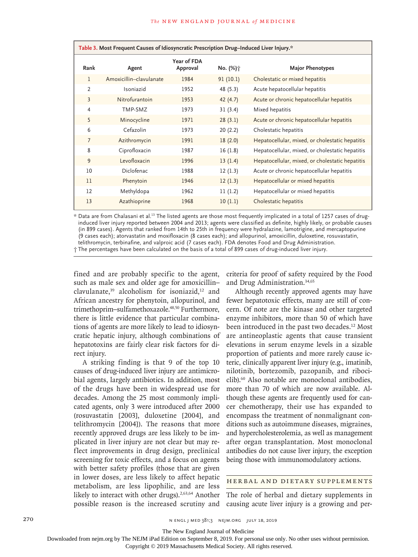| Table 3. Most Frequent Causes of Idiosyncratic Prescription Drug-Induced Liver Injury.* |                         |                         |                      |                                                 |  |  |  |
|-----------------------------------------------------------------------------------------|-------------------------|-------------------------|----------------------|-------------------------------------------------|--|--|--|
| Rank                                                                                    | Agent                   | Year of FDA<br>Approval | No. (%) <sub>1</sub> | <b>Major Phenotypes</b>                         |  |  |  |
| 1                                                                                       | Amoxicillin-clavulanate | 1984                    | 91(10.1)             | Cholestatic or mixed hepatitis                  |  |  |  |
| 2                                                                                       | Isoniazid               | 1952                    | 48 (5.3)             | Acute hepatocellular hepatitis                  |  |  |  |
| $\overline{3}$                                                                          | Nitrofurantoin          | 1953                    | 42(4.7)              | Acute or chronic hepatocellular hepatitis       |  |  |  |
| $\overline{4}$                                                                          | TMP-SM7                 | 1973                    | 31(3.4)              | Mixed hepatitis                                 |  |  |  |
| 5                                                                                       | Minocycline             | 1971                    | 28(3.1)              | Acute or chronic hepatocellular hepatitis       |  |  |  |
| 6                                                                                       | Cefazolin               | 1973                    | 20(2.2)              | Cholestatic hepatitis                           |  |  |  |
| $\overline{7}$                                                                          | Azithromycin            | 1991                    | 18(2.0)              | Hepatocellular, mixed, or cholestatic hepatitis |  |  |  |
| 8                                                                                       | Ciprofloxacin           | 1987                    | 16(1.8)              | Hepatocellular, mixed, or cholestatic hepatitis |  |  |  |
| 9                                                                                       | Levofloxacin            | 1996                    | 13(1.4)              | Hepatocellular, mixed, or cholestatic hepatitis |  |  |  |
| 10                                                                                      | Diclofenac              | 1988                    | 12(1.3)              | Acute or chronic hepatocellular hepatitis       |  |  |  |
| 11                                                                                      | Phenytoin               | 1946                    | 12(1.3)              | Hepatocellular or mixed hepatitis               |  |  |  |
| 12                                                                                      | Methyldopa              | 1962                    | 11(1.2)              | Hepatocellular or mixed hepatitis               |  |  |  |
| 13                                                                                      | Azathioprine            | 1968                    | 10(1.1)              | Cholestatic hepatitis                           |  |  |  |

\* Data are from Chalasani et al.13 The listed agents are those most frequently implicated in a total of 1257 cases of druginduced liver injury reported between 2004 and 2013; agents were classified as definite, highly likely, or probable causes (in 899 cases). Agents that ranked from 14th to 25th in frequency were hydralazine, lamotrigine, and mercaptopurine (9 cases each); atorvastatin and moxifloxacin (8 cases each); and allopurinol, amoxicillin, duloxetine, rosuvastatin, telithromycin, terbinafine, and valproic acid (7 cases each). FDA denotes Food and Drug Administration. † The percentages have been calculated on the basis of a total of 899 cases of drug-induced liver injury.

fined and are probably specific to the agent, such as male sex and older age for amoxicillin– clavulanate, $39$  alcoholism for isoniazid, $12$  and African ancestry for phenytoin, allopurinol, and trimethoprim–sulfamethoxazole.<sup>48,50</sup> Furthermore, there is little evidence that particular combinations of agents are more likely to lead to idiosyncratic hepatic injury, although combinations of hepatotoxins are fairly clear risk factors for direct injury.

A striking finding is that 9 of the top 10 causes of drug-induced liver injury are antimicrobial agents, largely antibiotics. In addition, most of the drugs have been in widespread use for decades. Among the 25 most commonly implicated agents, only 3 were introduced after 2000 (rosuvastatin [2003], duloxetine [2004], and telithromycin [2004]). The reasons that more recently approved drugs are less likely to be implicated in liver injury are not clear but may reflect improvements in drug design, preclinical screening for toxic effects, and a focus on agents with better safety profiles (those that are given in lower doses, are less likely to affect hepatic metabolism, are less lipophilic, and are less likely to interact with other drugs).<sup>2,63,64</sup> Another possible reason is the increased scrutiny and

criteria for proof of safety required by the Food and Drug Administration.34,65

Although recently approved agents may have fewer hepatotoxic effects, many are still of concern. Of note are the kinase and other targeted enzyme inhibitors, more than 50 of which have been introduced in the past two decades.<sup>12</sup> Most are antineoplastic agents that cause transient elevations in serum enzyme levels in a sizable proportion of patients and more rarely cause icteric, clinically apparent liver injury (e.g., imatinib, nilotinib, bortezomib, pazopanib, and ribociclib).60 Also notable are monoclonal antibodies, more than 70 of which are now available. Although these agents are frequently used for cancer chemotherapy, their use has expanded to encompass the treatment of nonmalignant conditions such as autoimmune diseases, migraines, and hypercholesterolemia, as well as management after organ transplantation. Most monoclonal antibodies do not cause liver injury, the exception being those with immunomodulatory actions.

#### Herbal and Dietary Supplements

The role of herbal and dietary supplements in causing acute liver injury is a growing and per-

270 **n engl j med 381;3** n engl j med 381;3 nejm.org j uly 18, 2019

The New England Journal of Medicine

Downloaded from nejm.org by The NEJM iPad Edition on September 8, 2019. For personal use only. No other uses without permission.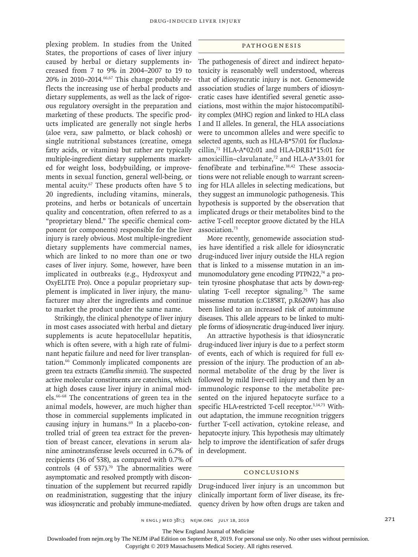plexing problem. In studies from the United States, the proportions of cases of liver injury caused by herbal or dietary supplements increased from 7 to 9% in 2004–2007 to 19 to  $20\%$  in  $2010-2014$ .  $66,67$  This change probably reflects the increasing use of herbal products and dietary supplements, as well as the lack of rigorous regulatory oversight in the preparation and marketing of these products. The specific products implicated are generally not single herbs (aloe vera, saw palmetto, or black cohosh) or single nutritional substances (creatine, omega fatty acids, or vitamins) but rather are typically multiple-ingredient dietary supplements marketed for weight loss, bodybuilding, or improvements in sexual function, general well-being, or mental acuity.<sup>67</sup> These products often have 5 to 20 ingredients, including vitamins, minerals, proteins, and herbs or botanicals of uncertain quality and concentration, often referred to as a "proprietary blend." The specific chemical component (or components) responsible for the liver injury is rarely obvious. Most multiple-ingredient dietary supplements have commercial names, which are linked to no more than one or two cases of liver injury. Some, however, have been implicated in outbreaks (e.g., Hydroxycut and OxyELITE Pro). Once a popular proprietary supplement is implicated in liver injury, the manufacturer may alter the ingredients and continue to market the product under the same name.

Strikingly, the clinical phenotype of liver injury in most cases associated with herbal and dietary supplements is acute hepatocellular hepatitis, which is often severe, with a high rate of fulminant hepatic failure and need for liver transplantation.66 Commonly implicated components are green tea extracts (*Camellia sinensis*). The suspected active molecular constituents are catechins, which at high doses cause liver injury in animal models.66-68 The concentrations of green tea in the animal models, however, are much higher than those in commercial supplements implicated in causing injury in humans.<sup>69</sup> In a placebo-controlled trial of green tea extract for the prevention of breast cancer, elevations in serum alanine aminotransferase levels occurred in 6.7% of recipients (36 of 538), as compared with 0.7% of controls (4 of 537). $70$  The abnormalities were asymptomatic and resolved promptly with discontinuation of the supplement but recurred rapidly on readministration, suggesting that the injury was idiosyncratic and probably immune-mediated.

#### Pathogenesis

The pathogenesis of direct and indirect hepatotoxicity is reasonably well understood, whereas that of idiosyncratic injury is not. Genomewide association studies of large numbers of idiosyncratic cases have identified several genetic associations, most within the major histocompatibility complex (MHC) region and linked to HLA class I and II alleles. In general, the HLA associations were to uncommon alleles and were specific to selected agents, such as HLA-B\*57:01 for flucloxacillin,<sup>71</sup> HLA-A\*02:01 and HLA-DRB1\*15:01 for amoxicillin–clavulanate,72 and HLA-A\*33:01 for fenofibrate and terbinafine.<sup>38,42</sup> These associations were not reliable enough to warrant screening for HLA alleles in selecting medications, but they suggest an immunologic pathogenesis. This hypothesis is supported by the observation that implicated drugs or their metabolites bind to the active T-cell receptor groove dictated by the HLA association.73

More recently, genomewide association studies have identified a risk allele for idiosyncratic drug-induced liver injury outside the HLA region that is linked to a missense mutation in an immunomodulatory gene encoding PTPN22,<sup>74</sup> a protein tyrosine phosphatase that acts by down-regulating T-cell receptor signaling.<sup>75</sup> The same missense mutation (c.C1858T, p.R620W) has also been linked to an increased risk of autoimmune diseases. This allele appears to be linked to multiple forms of idiosyncratic drug-induced liver injury.

An attractive hypothesis is that idiosyncratic drug-induced liver injury is due to a perfect storm of events, each of which is required for full expression of the injury. The production of an abnormal metabolite of the drug by the liver is followed by mild liver-cell injury and then by an immunologic response to the metabolite presented on the injured hepatocyte surface to a specific HLA-restricted T-cell receptor.3,14,73 Without adaptation, the immune recognition triggers further T-cell activation, cytokine release, and hepatocyte injury. This hypothesis may ultimately help to improve the identification of safer drugs in development.

#### Conclusions

Drug-induced liver injury is an uncommon but clinically important form of liver disease, its frequency driven by how often drugs are taken and

The New England Journal of Medicine

Downloaded from nejm.org by The NEJM iPad Edition on September 8, 2019. For personal use only. No other uses without permission.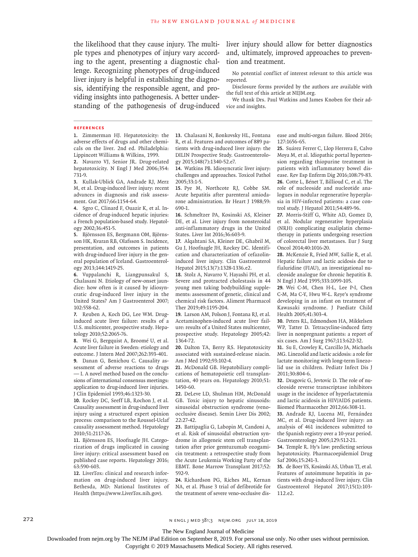the likelihood that they cause injury. The multiple types and phenotypes of injury vary according to the agent, presenting a diagnostic challenge. Recognizing phenotypes of drug-induced liver injury is helpful in establishing the diagnosis, identifying the responsible agent, and providing insights into pathogenesis. A better understanding of the pathogenesis of drug-induced

liver injury should allow for better diagnostics and, ultimately, improved approaches to prevention and treatment.

No potential conflict of interest relevant to this article was reported.

Disclosure forms provided by the authors are available with the full text of this article at NEJM.org.

We thank Drs. Paul Watkins and James Knoben for their advice and insights.

#### **References**

**1.** Zimmerman HJ. Hepatotoxicity: the adverse effects of drugs and other chemicals on the liver. 2nd ed. Philadelphia: Lippincott Williams & Wilkins, 1999.

**2.** Navarro VJ, Senior JR. Drug-related hepatotoxicity. N Engl J Med 2006;354: 731-9.

**3.** Kullak-Ublick GA, Andrade RJ, Merz M, et al. Drug-induced liver injury: recent advances in diagnosis and risk assessment. Gut 2017;66:1154-64.

**4.** Sgro C, Clinard F, Ouazir K, et al. Incidence of drug-induced hepatic injuries: a French population-based study. Hepatology 2002;36:451-5.

**5.** Björnsson ES, Bergmann OM, Björnsson HK, Kvaran RB, Olafsson S. Incidence, presentation, and outcomes in patients with drug-induced liver injury in the general population of Iceland. Gastroenterology 2013;144:1419-25.

**6.** Vuppalanchi R, Liangpunsakul S, Chalasani N. Etiology of new-onset jaundice: how often is it caused by idiosyncratic drug-induced liver injury in the United States? Am J Gastroenterol 2007; 102:558-62.

**7.** Reuben A, Koch DG, Lee WM. Druginduced acute liver failure: results of a U.S. multicenter, prospective study. Hepatology 2010;52:2065-76.

**8.** Wei G, Bergquist A, Broomé U, et al. Acute liver failure in Sweden: etiology and outcome. J Intern Med 2007;262:393-401. **9.** Danan G, Benichou C. Causality assessment of adverse reactions to drugs — I. A novel method based on the conclusions of international consensus meetings: application to drug-induced liver injuries.

J Clin Epidemiol 1993;46:1323-30. **10.** Rockey DC, Seeff LB, Rochon J, et al. Causality assessment in drug-induced liver injury using a structured expert opinion process: comparison to the Roussel-Uclaf

causality assessment method. Hepatology 2010;51:2117-26. **11.** Björnsson ES, Hoofnagle JH. Catego-

rization of drugs implicated in causing liver injury: critical assessment based on published case reports. Hepatology 2016; 63:590-603.

**12.** LiverTox: clinical and research information on drug-induced liver injury. Bethesda, MD: National Institutes of Health (https://www.LiverTox.nih.gov).

**13.** Chalasani N, Bonkovsky HL, Fontana R, et al. Features and outcomes of 889 patients with drug-induced liver injury: the DILIN Prospective Study. Gastroenterology 2015;148(7):1340-52.e7.

**14.** Watkins PB. Idiosyncratic liver injury: challenges and approaches. Toxicol Pathol 2005;33:1-5.

**15.** Pye M, Northcote RJ, Cobbe SM. Acute hepatitis after parenteral amiodarone administration. Br Heart J 1988;59: 690-1.

**16.** Schmeltzer PA, Kosinski AS, Kleiner DE, et al. Liver injury from nonsteroidal anti-inflammatory drugs in the United States. Liver Int 2016;36:603-9.

**17.** Alqahtani SA, Kleiner DE, Ghabril M, Gu J, Hoofnagle JH, Rockey DC. Identification and characterization of cefazolininduced liver injury. Clin Gastroenterol Hepatol 2015;13(7):1328-1336.e2.

**18.** Stolz A, Navarro V, Hayashi PH, et al. Severe and protracted cholestasis in 44 young men taking bodybuilding supplements: assessment of genetic, clinical and chemical risk factors. Aliment Pharmacol Ther 2019;49:1195-204.

**19.** Larson AM, Polson J, Fontana RJ, et al. Acetaminophen-induced acute liver failure: results of a United States multicenter, prospective study. Hepatology 2005;42: 1364-72.

**20.** Dalton TA, Berry RS. Hepatotoxicity associated with sustained-release niacin. Am J Med 1992;93:102-4.

**21.** McDonald GB. Hepatobiliary complications of hematopoietic cell transplantation, 40 years on. Hepatology 2010;51: 1450-60.

**22.** DeLeve LD, Shulman HM, McDonald GB. Toxic injury to hepatic sinusoids: sinusoidal obstruction syndrome (venoocclusive disease). Semin Liver Dis 2002; 22:27-42.

**23.** Battipaglia G, Labopin M, Candoni A, et al. Risk of sinusoidal obstruction syndrome in allogeneic stem cell transplantation after prior gemtuzumab ozogamicin treatment: a retrospective study from the Acute Leukemia Working Party of the EBMT. Bone Marrow Transplant 2017;52: 592-9.

**24.** Richardson PG, Riches ML, Kernan NA, et al. Phase 3 trial of defibrotide for the treatment of severe veno-occlusive disease and multi-organ failure. Blood 2016; 127:1656-65.

**25.** Suárez Ferrer C, Llop Herrera E, Calvo Moya M, et al. Idiopathic portal hypertension regarding thiopurine treatment in patients with inflammatory bowel disease. Rev Esp Enferm Dig 2016;108:79-83. **26.** Cotte L, Bénet T, Billioud C, et al. The role of nucleoside and nucleotide analogues in nodular regenerative hyperplasia in HIV-infected patients: a case control study. J Hepatol 2011;54:489-96.

**27.** Morris-Stiff G, White AD, Gomez D, et al. Nodular regenerative hyperplasia (NRH) complicating oxaliplatin chemotherapy in patients undergoing resection of colorectal liver metastases. Eur J Surg Oncol 2014;40:1016-20.

**28.** McKenzie R, Fried MW, Sallie R, et al. Hepatic failure and lactic acidosis due to fialuridine (FIAU), an investigational nucleoside analogue for chronic hepatitis B. N Engl J Med 1995;333:1099-105.

**29.** Wei C-M, Chen H-L, Lee P-I, Chen C-M, Ma C-Y, Hwu W-L. Reye's syndrome developing in an infant on treatment of Kawasaki syndrome. J Paediatr Child Health 2005;41:303-4.

**30.** Peters RL, Edmondson HA, Mikkelsen WP, Tatter D. Tetracycline-induced fatty liver in nonpregnant patients: a report of six cases. Am J Surg 1967;113:622-32.

**31.** Su E, Crowley K, Carcillo JA, Michaels MG. Linezolid and lactic acidosis: a role for lactate monitoring with long-term linezolid use in children. Pediatr Infect Dis J 2011;30:804-6.

**32.** Dragovic G, Jevtovic D. The role of nucleoside reverse transcriptase inhibitors usage in the incidence of hyperlactatemia and lactic acidosis in HIV/AIDS patients. Biomed Pharmacother 2012;66:308-11.

**33.** Andrade RJ, Lucena MI, Fernández MC, et al. Drug-induced liver injury: an analysis of 461 incidences submitted to the Spanish registry over a 10-year period. Gastroenterology 2005;129:512-21.

**34.** Temple R. Hy's law: predicting serious hepatotoxicity. Pharmacoepidemiol Drug Saf 2006;15:241-3.

**35.** de Boer YS, Kosinski AS, Urban TJ, et al. Features of autoimmune hepatitis in patients with drug-induced liver injury. Clin Gastroenterol Hepatol 2017;15(1):103- 112.e2.

272 **n engl j med 381;3** n engl j med 381;3 nejm.org j uly 18, 2019

The New England Journal of Medicine

Downloaded from nejm.org by The NEJM iPad Edition on September 8, 2019. For personal use only. No other uses without permission.